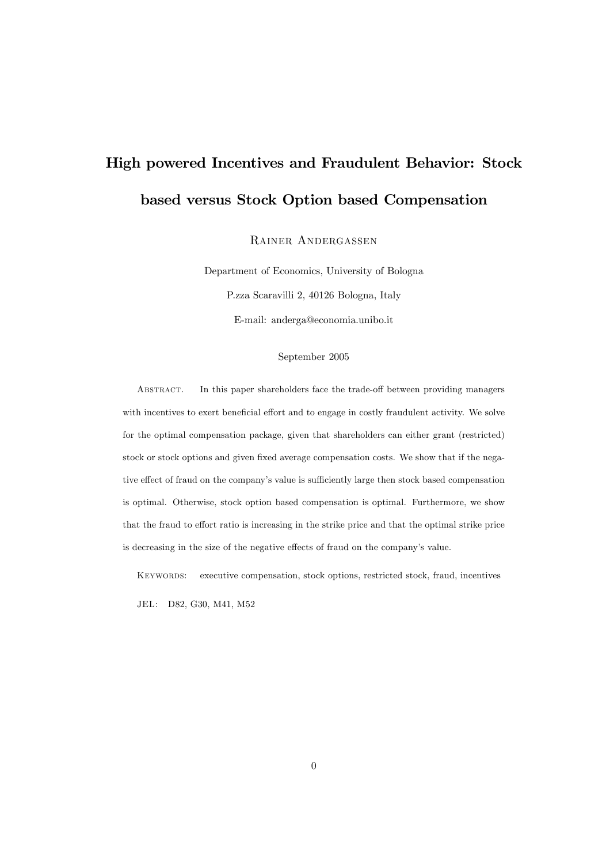# High powered Incentives and Fraudulent Behavior: Stock based versus Stock Option based Compensation

Rainer Andergassen

Department of Economics, University of Bologna P.zza Scaravilli 2, 40126 Bologna, Italy E-mail: anderga@economia.unibo.it

#### September 2005

ABSTRACT. In this paper shareholders face the trade-off between providing managers with incentives to exert beneficial effort and to engage in costly fraudulent activity. We solve for the optimal compensation package, given that shareholders can either grant (restricted) stock or stock options and given fixed average compensation costs. We show that if the negative effect of fraud on the company's value is sufficiently large then stock based compensation is optimal. Otherwise, stock option based compensation is optimal. Furthermore, we show that the fraud to effort ratio is increasing in the strike price and that the optimal strike price is decreasing in the size of the negative effects of fraud on the company's value.

Keywords: executive compensation, stock options, restricted stock, fraud, incentives

JEL: D82, G30, M41, M52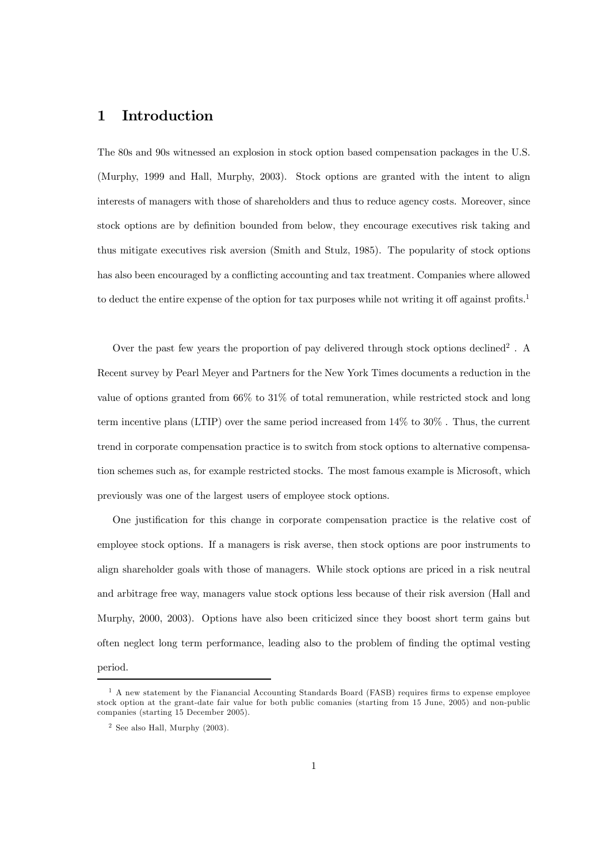#### 1 Introduction

The 80s and 90s witnessed an explosion in stock option based compensation packages in the U.S. (Murphy, 1999 and Hall, Murphy, 2003). Stock options are granted with the intent to align interests of managers with those of shareholders and thus to reduce agency costs. Moreover, since stock options are by definition bounded from below, they encourage executives risk taking and thus mitigate executives risk aversion (Smith and Stulz, 1985). The popularity of stock options has also been encouraged by a conflicting accounting and tax treatment. Companies where allowed to deduct the entire expense of the option for tax purposes while not writing it off against profits.<sup>1</sup>

Over the past few years the proportion of pay delivered through stock options declined2 . A Recent survey by Pearl Meyer and Partners for the New York Times documents a reduction in the value of options granted from 66% to 31% of total remuneration, while restricted stock and long term incentive plans (LTIP) over the same period increased from 14% to 30% . Thus, the current trend in corporate compensation practice is to switch from stock options to alternative compensation schemes such as, for example restricted stocks. The most famous example is Microsoft, which previously was one of the largest users of employee stock options.

One justification for this change in corporate compensation practice is the relative cost of employee stock options. If a managers is risk averse, then stock options are poor instruments to align shareholder goals with those of managers. While stock options are priced in a risk neutral and arbitrage free way, managers value stock options less because of their risk aversion (Hall and Murphy, 2000, 2003). Options have also been criticized since they boost short term gains but often neglect long term performance, leading also to the problem of finding the optimal vesting period.

<sup>1</sup> A new statement by the Fianancial Accounting Standards Board (FASB) requires firms to expense employee stock option at the grant-date fair value for both public comanies (starting from 15 June, 2005) and non-public companies (starting 15 December 2005).

<sup>2</sup> See also Hall, Murphy (2003).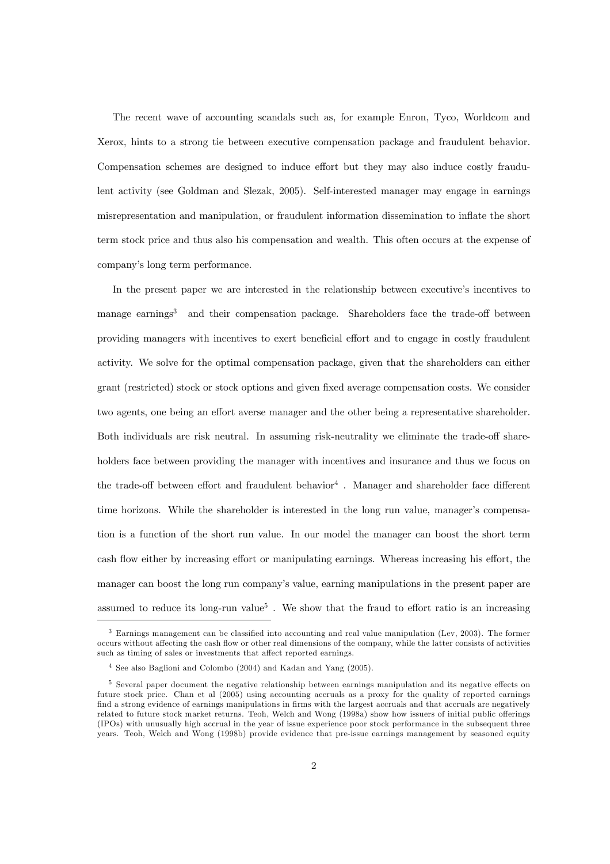The recent wave of accounting scandals such as, for example Enron, Tyco, Worldcom and Xerox, hints to a strong tie between executive compensation package and fraudulent behavior. Compensation schemes are designed to induce effort but they may also induce costly fraudulent activity (see Goldman and Slezak, 2005). Self-interested manager may engage in earnings misrepresentation and manipulation, or fraudulent information dissemination to inflate the short term stock price and thus also his compensation and wealth. This often occurs at the expense of company's long term performance.

In the present paper we are interested in the relationship between executive's incentives to manage earnings<sup>3</sup> and their compensation package. Shareholders face the trade-off between providing managers with incentives to exert beneficial effort and to engage in costly fraudulent activity. We solve for the optimal compensation package, given that the shareholders can either grant (restricted) stock or stock options and given fixed average compensation costs. We consider two agents, one being an effort averse manager and the other being a representative shareholder. Both individuals are risk neutral. In assuming risk-neutrality we eliminate the trade-off shareholders face between providing the manager with incentives and insurance and thus we focus on the trade-off between effort and fraudulent behavior<sup>4</sup>. Manager and shareholder face different time horizons. While the shareholder is interested in the long run value, manager's compensation is a function of the short run value. In our model the manager can boost the short term cash flow either by increasing effort or manipulating earnings. Whereas increasing his effort, the manager can boost the long run company's value, earning manipulations in the present paper are assumed to reduce its long-run value<sup>5</sup>. We show that the fraud to effort ratio is an increasing

<sup>3</sup> Earnings management can be classified into accounting and real value manipulation (Lev, 2003). The former occurs without affecting the cash flow or other real dimensions of the company, while the latter consists of activities such as timing of sales or investments that affect reported earnings.

<sup>4</sup> See also Baglioni and Colombo (2004) and Kadan and Yang (2005).

<sup>5</sup> Several paper document the negative relationship between earnings manipulation and its negative effects on future stock price. Chan et al (2005) using accounting accruals as a proxy for the quality of reported earnings find a strong evidence of earnings manipulations in firms with the largest accruals and that accruals are negatively related to future stock market returns. Teoh, Welch and Wong (1998a) show how issuers of initial public offerings (IPOs) with unusually high accrual in the year of issue experience poor stock performance in the subsequent three years. Teoh, Welch and Wong (1998b) provide evidence that pre-issue earnings management by seasoned equity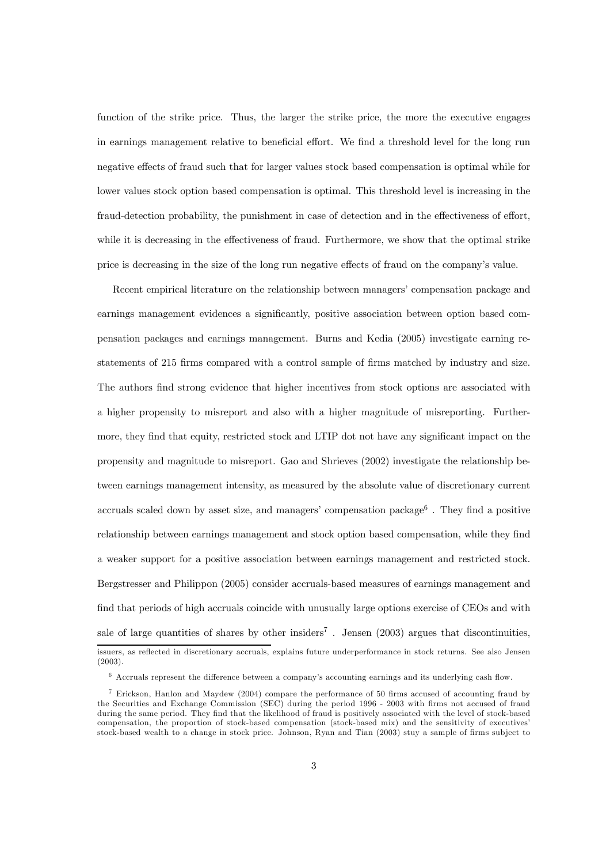function of the strike price. Thus, the larger the strike price, the more the executive engages in earnings management relative to beneficial effort. We find a threshold level for the long run negative effects of fraud such that for larger values stock based compensation is optimal while for lower values stock option based compensation is optimal. This threshold level is increasing in the fraud-detection probability, the punishment in case of detection and in the effectiveness of effort, while it is decreasing in the effectiveness of fraud. Furthermore, we show that the optimal strike price is decreasing in the size of the long run negative effects of fraud on the company's value.

Recent empirical literature on the relationship between managers' compensation package and earnings management evidences a significantly, positive association between option based compensation packages and earnings management. Burns and Kedia (2005) investigate earning restatements of 215 firms compared with a control sample of firms matched by industry and size. The authors find strong evidence that higher incentives from stock options are associated with a higher propensity to misreport and also with a higher magnitude of misreporting. Furthermore, they find that equity, restricted stock and LTIP dot not have any significant impact on the propensity and magnitude to misreport. Gao and Shrieves (2002) investigate the relationship between earnings management intensity, as measured by the absolute value of discretionary current accruals scaled down by asset size, and managers' compensation package<sup>6</sup>. They find a positive relationship between earnings management and stock option based compensation, while they find a weaker support for a positive association between earnings management and restricted stock. Bergstresser and Philippon (2005) consider accruals-based measures of earnings management and find that periods of high accruals coincide with unusually large options exercise of CEOs and with sale of large quantities of shares by other insiders<sup>7</sup>. Jensen  $(2003)$  argues that discontinuities, issuers, as reflected in discretionary accruals, explains future underperformance in stock returns. See also Jensen (2003).

<sup>6</sup> Accruals represent the difference between a company's accounting earnings and its underlying cash flow.

<sup>7</sup> Erickson, Hanlon and Maydew (2004) compare the performance of 50 firms accused of accounting fraud by the Securities and Exchange Commission (SEC) during the period 1996 - 2003 with firms not accused of fraud during the same period. They find that the likelihood of fraud is positively associated with the level of stock-based compensation, the proportion of stock-based compensation (stock-based mix) and the sensitivity of executives' stock-based wealth to a change in stock price. Johnson, Ryan and Tian (2003) stuy a sample of firms subject to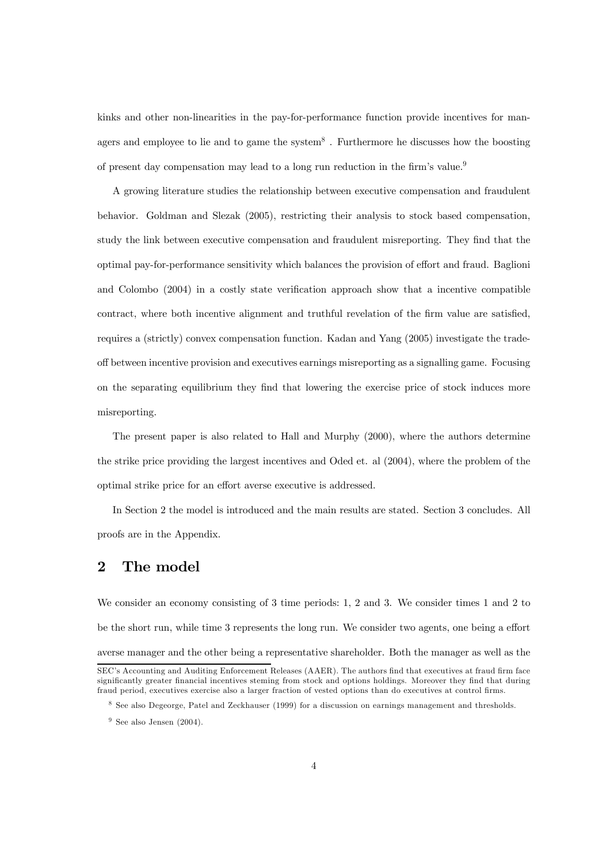kinks and other non-linearities in the pay-for-performance function provide incentives for managers and employee to lie and to game the system<sup>8</sup>. Furthermore he discusses how the boosting of present day compensation may lead to a long run reduction in the firm's value.<sup>9</sup>

A growing literature studies the relationship between executive compensation and fraudulent behavior. Goldman and Slezak (2005), restricting their analysis to stock based compensation, study the link between executive compensation and fraudulent misreporting. They find that the optimal pay-for-performance sensitivity which balances the provision of effort and fraud. Baglioni and Colombo (2004) in a costly state verification approach show that a incentive compatible contract, where both incentive alignment and truthful revelation of the firm value are satisfied, requires a (strictly) convex compensation function. Kadan and Yang (2005) investigate the tradeoff between incentive provision and executives earnings misreporting as a signalling game. Focusing on the separating equilibrium they find that lowering the exercise price of stock induces more misreporting.

The present paper is also related to Hall and Murphy (2000), where the authors determine the strike price providing the largest incentives and Oded et. al (2004), where the problem of the optimal strike price for an effort averse executive is addressed.

In Section 2 the model is introduced and the main results are stated. Section 3 concludes. All proofs are in the Appendix.

### 2 The model

We consider an economy consisting of 3 time periods: 1, 2 and 3. We consider times 1 and 2 to be the short run, while time 3 represents the long run. We consider two agents, one being a effort averse manager and the other being a representative shareholder. Both the manager as well as the SEC's Accounting and Auditing Enforcement Releases (AAER). The authors find that executives at fraud firm face

significantly greater financial incentives steming from stock and options holdings. Moreover they find that during fraud period, executives exercise also a larger fraction of vested options than do executives at control firms.

<sup>8</sup> See also Degeorge, Patel and Zeckhauser (1999) for a discussion on earnings management and thresholds.

 $9$  See also Jensen (2004).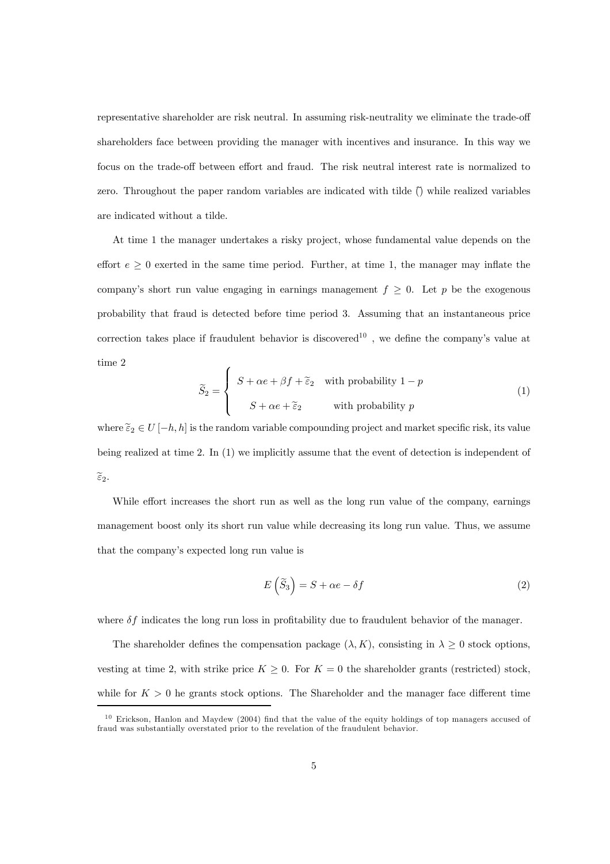representative shareholder are risk neutral. In assuming risk-neutrality we eliminate the trade-off shareholders face between providing the manager with incentives and insurance. In this way we focus on the trade-off between effort and fraud. The risk neutral interest rate is normalized to zero. Throughout the paper random variables are indicated with tilde  $\hat{O}$  while realized variables are indicated without a tilde.

At time 1 the manager undertakes a risky project, whose fundamental value depends on the effort  $e \geq 0$  exerted in the same time period. Further, at time 1, the manager may inflate the company's short run value engaging in earnings management  $f \geq 0$ . Let p be the exogenous probability that fraud is detected before time period 3. Assuming that an instantaneous price correction takes place if fraudulent behavior is discovered<sup>10</sup>, we define the company's value at time 2

$$
\widetilde{S}_2 = \begin{cases}\nS + \alpha e + \beta f + \widetilde{\epsilon}_2 & \text{with probability } 1 - p \\
S + \alpha e + \widetilde{\epsilon}_2 & \text{with probability } p\n\end{cases}
$$
\n(1)

where  $\tilde{\varepsilon}_2 \in U[-h,h]$  is the random variable compounding project and market specific risk, its value being realized at time 2. In (1) we implicitly assume that the event of detection is independent of  $\widetilde{\varepsilon}_2$ .

While effort increases the short run as well as the long run value of the company, earnings management boost only its short run value while decreasing its long run value. Thus, we assume that the company's expected long run value is

$$
E\left(\tilde{S}_3\right) = S + \alpha e - \delta f\tag{2}
$$

where  $\delta f$  indicates the long run loss in profitability due to fraudulent behavior of the manager.

The shareholder defines the compensation package  $(\lambda, K)$ , consisting in  $\lambda \geq 0$  stock options, vesting at time 2, with strike price  $K \geq 0$ . For  $K = 0$  the shareholder grants (restricted) stock, while for  $K > 0$  he grants stock options. The Shareholder and the manager face different time

<sup>&</sup>lt;sup>10</sup> Erickson, Hanlon and Maydew (2004) find that the value of the equity holdings of top managers accused of fraud was substantially overstated prior to the revelation of the fraudulent behavior.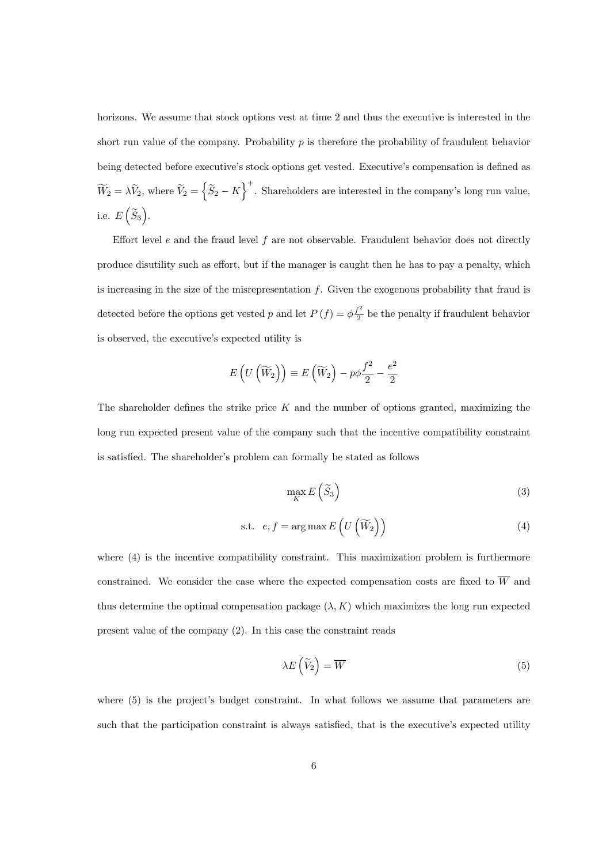horizons. We assume that stock options vest at time 2 and thus the executive is interested in the short run value of the company. Probability  $p$  is therefore the probability of fraudulent behavior being detected before executive's stock options get vested. Executive's compensation is defined as  $\widetilde{W}_2 = \lambda \widetilde{V}_2$ , where  $\widetilde{V}_2 = \left\{ \widetilde{S}_2 - K \right\}^+$ . Shareholders are interested in the company's long run value, i.e.  $E\left(\widetilde{S}_3\right)$ .

Effort level  $e$  and the fraud level  $f$  are not observable. Fraudulent behavior does not directly produce disutility such as effort, but if the manager is caught then he has to pay a penalty, which is increasing in the size of the misrepresentation f. Given the exogenous probability that fraud is detected before the options get vested p and let  $P(f) = \phi \frac{f^2}{2}$  be the penalty if fraudulent behavior is observed, the executive's expected utility is

$$
E\left(U\left(\widetilde{W}_2\right)\right) \equiv E\left(\widetilde{W}_2\right) - p\phi \frac{f^2}{2} - \frac{e^2}{2}
$$

The shareholder defines the strike price  $K$  and the number of options granted, maximizing the long run expected present value of the company such that the incentive compatibility constraint is satisfied. The shareholder's problem can formally be stated as follows

$$
\max_{K} E\left(\widetilde{S}_3\right) \tag{3}
$$

$$
\text{s.t. } e, f = \arg \max E \left( U \left( \widetilde{W}_2 \right) \right) \tag{4}
$$

where  $(4)$  is the incentive compatibility constraint. This maximization problem is furthermore constrained. We consider the case where the expected compensation costs are fixed to  $\overline{W}$  and thus determine the optimal compensation package  $(\lambda, K)$  which maximizes the long run expected present value of the company (2). In this case the constraint reads

$$
\lambda E\left(\widetilde{V}_2\right) = \overline{W} \tag{5}
$$

where (5) is the project's budget constraint. In what follows we assume that parameters are such that the participation constraint is always satisfied, that is the executive's expected utility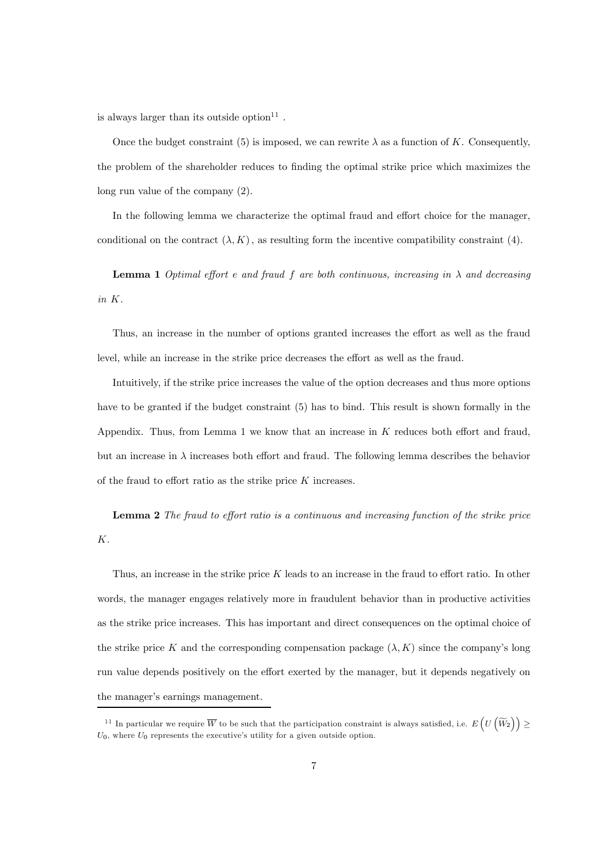is always larger than its outside option  $11$  .

Once the budget constraint (5) is imposed, we can rewrite  $\lambda$  as a function of K. Consequently, the problem of the shareholder reduces to finding the optimal strike price which maximizes the long run value of the company (2).

In the following lemma we characterize the optimal fraud and effort choice for the manager, conditional on the contract  $(\lambda, K)$ , as resulting form the incentive compatibility constraint (4).

**Lemma 1** Optimal effort e and fraud f are both continuous, increasing in  $\lambda$  and decreasing in K.

Thus, an increase in the number of options granted increases the effort as well as the fraud level, while an increase in the strike price decreases the effort as well as the fraud.

Intuitively, if the strike price increases the value of the option decreases and thus more options have to be granted if the budget constraint (5) has to bind. This result is shown formally in the Appendix. Thus, from Lemma 1 we know that an increase in K reduces both effort and fraud, but an increase in  $\lambda$  increases both effort and fraud. The following lemma describes the behavior of the fraud to effort ratio as the strike price K increases.

Lemma 2 The fraud to effort ratio is a continuous and increasing function of the strike price K.

Thus, an increase in the strike price  $K$  leads to an increase in the fraud to effort ratio. In other words, the manager engages relatively more in fraudulent behavior than in productive activities as the strike price increases. This has important and direct consequences on the optimal choice of the strike price K and the corresponding compensation package  $(\lambda, K)$  since the company's long run value depends positively on the effort exerted by the manager, but it depends negatively on the manager's earnings management.

<sup>&</sup>lt;sup>11</sup> In particular we require  $\overline{W}$  to be such that the participation constraint is always satisfied, i.e.  $E\left(U\left(\widetilde{W}_{2}\right)\right) \ge$  $U_0$ , where  $U_0$  represents the executive's utility for a given outside option.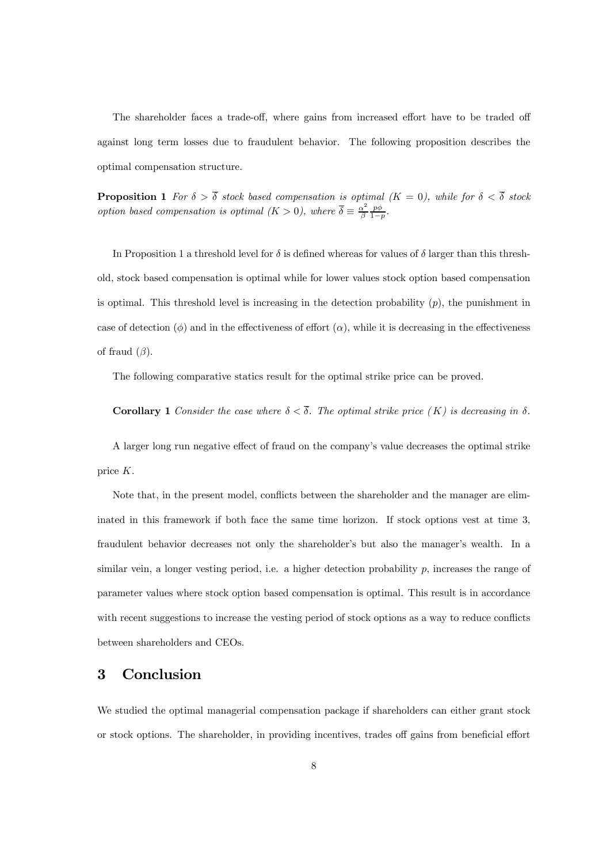The shareholder faces a trade-off, where gains from increased effort have to be traded off against long term losses due to fraudulent behavior. The following proposition describes the optimal compensation structure.

**Proposition 1** For  $\delta > \delta$  stock based compensation is optimal  $(K = 0)$ , while for  $\delta < \delta$  stock option based compensation is optimal  $(K > 0)$ , where  $\overline{\delta} \equiv \frac{\alpha^2}{\beta} \frac{p\phi}{1-p}$ .

In Proposition 1 a threshold level for  $\delta$  is defined whereas for values of  $\delta$  larger than this threshold, stock based compensation is optimal while for lower values stock option based compensation is optimal. This threshold level is increasing in the detection probability  $(p)$ , the punishment in case of detection  $(\phi)$  and in the effectiveness of effort  $(\alpha)$ , while it is decreasing in the effectiveness of fraud  $(\beta)$ .

The following comparative statics result for the optimal strike price can be proved.

Corollary 1 Consider the case where  $\delta < \overline{\delta}$ . The optimal strike price  $(K)$  is decreasing in  $\delta$ .

A larger long run negative effect of fraud on the company's value decreases the optimal strike price K.

Note that, in the present model, conflicts between the shareholder and the manager are eliminated in this framework if both face the same time horizon. If stock options vest at time 3, fraudulent behavior decreases not only the shareholder's but also the manager's wealth. In a similar vein, a longer vesting period, i.e. a higher detection probability  $p$ , increases the range of parameter values where stock option based compensation is optimal. This result is in accordance with recent suggestions to increase the vesting period of stock options as a way to reduce conflicts between shareholders and CEOs.

## 3 Conclusion

We studied the optimal managerial compensation package if shareholders can either grant stock or stock options. The shareholder, in providing incentives, trades off gains from beneficial effort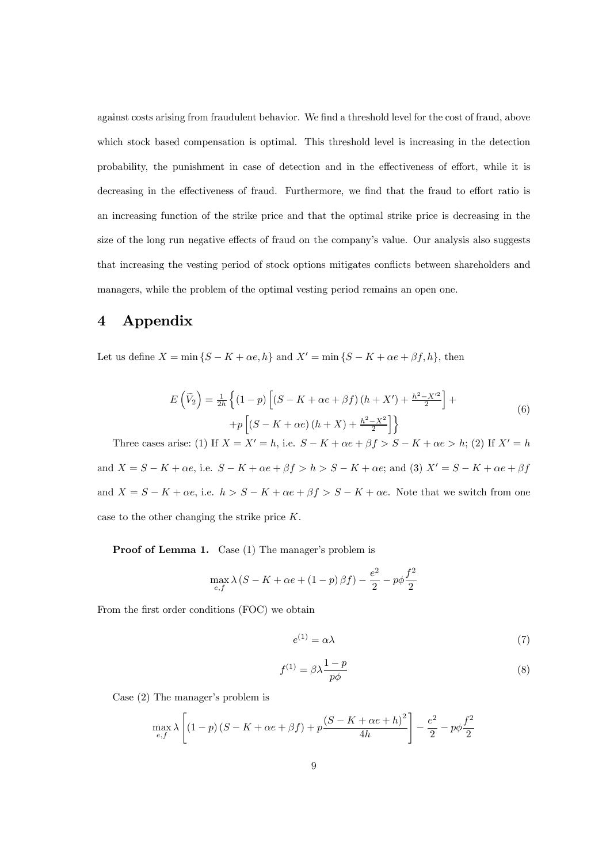against costs arising from fraudulent behavior. We find a threshold level for the cost of fraud, above which stock based compensation is optimal. This threshold level is increasing in the detection probability, the punishment in case of detection and in the effectiveness of effort, while it is decreasing in the effectiveness of fraud. Furthermore, we find that the fraud to effort ratio is an increasing function of the strike price and that the optimal strike price is decreasing in the size of the long run negative effects of fraud on the company's value. Our analysis also suggests that increasing the vesting period of stock options mitigates conflicts between shareholders and managers, while the problem of the optimal vesting period remains an open one.

### 4 Appendix

Let us define  $X = \min \{S - K + \alpha e, h\}$  and  $X' = \min \{S - K + \alpha e + \beta f, h\}$ , then

$$
E\left(\widetilde{V}_2\right) = \frac{1}{2h} \left\{ (1-p) \left[ (S - K + \alpha e + \beta f) \left( h + X' \right) + \frac{h^2 - X'^2}{2} \right] + \right.
$$
  
+
$$
p \left[ (S - K + \alpha e) \left( h + X \right) + \frac{h^2 - X^2}{2} \right] \right\}
$$
(6)

Three cases arise: (1) If  $X = X' = h$ , i.e.  $S - K + \alpha e + \beta f > S - K + \alpha e > h$ ; (2) If  $X' = h$ and  $X = S - K + \alpha e$ , i.e.  $S - K + \alpha e + \beta f > h > S - K + \alpha e$ ; and (3)  $X' = S - K + \alpha e + \beta f$ and  $X = S - K + \alpha e$ , i.e.  $h > S - K + \alpha e + \beta f > S - K + \alpha e$ . Note that we switch from one case to the other changing the strike price K.

Proof of Lemma 1. Case (1) The manager's problem is

$$
\max_{e,f} \lambda \left(S-K+\alpha e + \left(1-p\right)\beta f\right) - \frac{e^2}{2} - p\phi \frac{f^2}{2}
$$

From the first order conditions (FOC) we obtain

$$
e^{(1)} = \alpha \lambda \tag{7}
$$

$$
f^{(1)} = \beta \lambda \frac{1 - p}{p\phi} \tag{8}
$$

Case (2) The manager's problem is

$$
\max_{e,f} \lambda \left[ \left(1-p\right)\left(S-K+\alpha e+\beta f\right)+p\frac{\left(S-K+\alpha e+h\right)^2}{4h}\right]-\frac{e^2}{2}-p\phi\frac{f^2}{2}
$$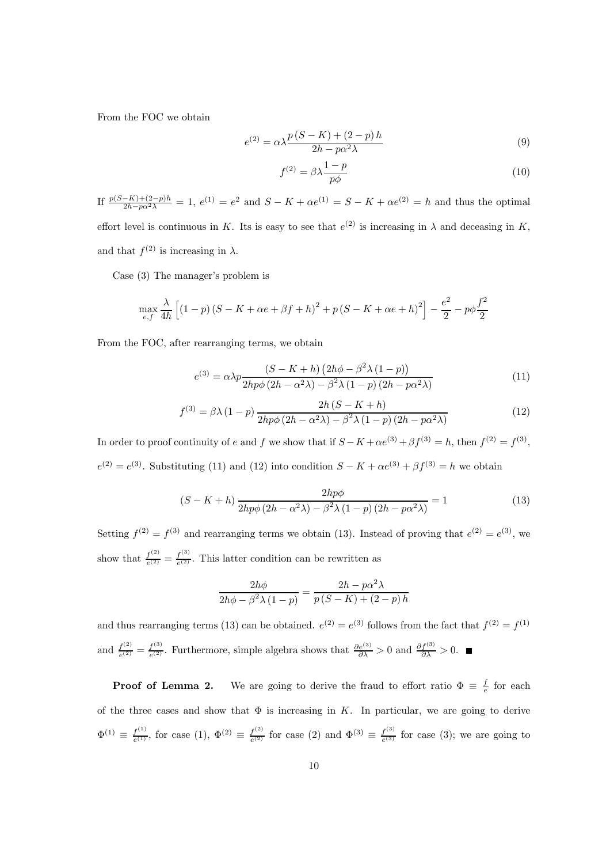From the FOC we obtain

$$
e^{(2)} = \alpha \lambda \frac{p(S-K) + (2-p)h}{2h - p\alpha^2 \lambda} \tag{9}
$$

$$
f^{(2)} = \beta \lambda \frac{1-p}{p\phi} \tag{10}
$$

If  $\frac{p(S-K)+(2-p)h}{2h-p\alpha^2\lambda} = 1$ ,  $e^{(1)} = e^2$  and  $S - K + \alpha e^{(1)} = S - K + \alpha e^{(2)} = h$  and thus the optimal effort level is continuous in K. Its is easy to see that  $e^{(2)}$  is increasing in  $\lambda$  and deceasing in K, and that  $f^{(2)}$  is increasing in  $\lambda$ .

Case (3) The manager's problem is

$$
\max_{e,f} \frac{\lambda}{4h} \left[ \left( 1-p \right) \left( S - K + \alpha e + \beta f + h \right)^2 + p \left( S - K + \alpha e + h \right)^2 \right] - \frac{e^2}{2} - p\phi \frac{f^2}{2}
$$

From the FOC, after rearranging terms, we obtain

$$
e^{(3)} = \alpha \lambda p \frac{\left(S - K + h\right) \left(2h\phi - \beta^2 \lambda \left(1 - p\right)\right)}{2hp\phi \left(2h - \alpha^2 \lambda\right) - \beta^2 \lambda \left(1 - p\right) \left(2h - p\alpha^2 \lambda\right)}\tag{11}
$$

$$
f^{(3)} = \beta \lambda (1 - p) \frac{2h(S - K + h)}{2hp\phi (2h - \alpha^2 \lambda) - \beta^2 \lambda (1 - p) (2h - p\alpha^2 \lambda)}
$$
(12)

In order to proof continuity of e and f we show that if  $S - K + \alpha e^{(3)} + \beta f^{(3)} = h$ , then  $f^{(2)} = f^{(3)}$ ,  $e^{(2)} = e^{(3)}$ . Substituting (11) and (12) into condition  $S - K + \alpha e^{(3)} + \beta f^{(3)} = h$  we obtain

$$
(S - K + h) \frac{2hp\phi}{2hp\phi(2h - \alpha^2\lambda) - \beta^2\lambda(1 - p)(2h - p\alpha^2\lambda)} = 1
$$
\n(13)

Setting  $f^{(2)} = f^{(3)}$  and rearranging terms we obtain (13). Instead of proving that  $e^{(2)} = e^{(3)}$ , we show that  $\frac{f^{(2)}}{e^{(2)}} = \frac{f^{(3)}}{e^{(2)}}$ . This latter condition can be rewritten as

$$
\frac{2h\phi}{2h\phi - \beta^2 \lambda (1-p)} = \frac{2h - p\alpha^2 \lambda}{p(S-K) + (2-p)h}
$$

and thus rearranging terms (13) can be obtained.  $e^{(2)} = e^{(3)}$  follows from the fact that  $f^{(2)} = f^{(1)}$ and  $\frac{f^{(2)}}{e^{(2)}} = \frac{f^{(3)}}{e^{(2)}}$ . Furthermore, simple algebra shows that  $\frac{\partial e^{(3)}}{\partial \lambda} > 0$  and  $\frac{\partial f^{(3)}}{\partial \lambda} > 0$ .

**Proof of Lemma 2.** We are going to derive the fraud to effort ratio  $\Phi \equiv \frac{f}{e}$  for each of the three cases and show that  $\Phi$  is increasing in K. In particular, we are going to derive  $\Phi^{(1)} \equiv \frac{f^{(1)}}{e^{(1)}}$ , for case  $(1), \Phi^{(2)} \equiv \frac{f^{(2)}}{e^{(2)}}$  for case  $(2)$  and  $\Phi^{(3)} \equiv \frac{f^{(3)}}{e^{(3)}}$  for case  $(3)$ ; we are going to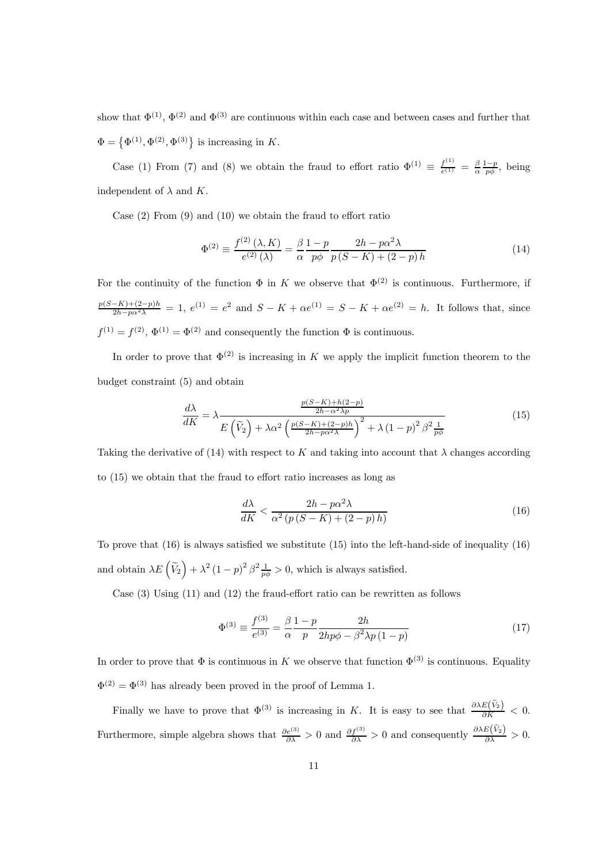show that  $\Phi^{(1)}$ ,  $\Phi^{(2)}$  and  $\Phi^{(3)}$  are continuous within each case and between cases and further that  $\Phi = {\Phi<sup>(1)</sup>, \Phi<sup>(2)</sup>, \Phi<sup>(3)</sup>}$  is increasing in K.

Case (1) From (7) and (8) we obtain the fraud to effort ratio  $\Phi^{(1)} \equiv \frac{f^{(1)}}{e^{(1)}} = \frac{\beta}{\alpha} \frac{1-p}{p\phi}$ , being independent of  $\lambda$  and  $K$ .

Case (2) From (9) and (10) we obtain the fraud to effort ratio

$$
\Phi^{(2)} \equiv \frac{f^{(2)}(\lambda, K)}{e^{(2)}(\lambda)} = \frac{\beta}{\alpha} \frac{1 - p}{p\phi} \frac{2h - p\alpha^2 \lambda}{p(S - K) + (2 - p)h}
$$
(14)

For the continuity of the function  $\Phi$  in K we observe that  $\Phi^{(2)}$  is continuous. Furthermore, if  $\frac{p(S-K)+(2-p)h}{2h-p\alpha^2\lambda} = 1$ ,  $e^{(1)} = e^2$  and  $S-K+\alpha e^{(1)} = S-K+\alpha e^{(2)} = h$ . It follows that, since  $f^{(1)} = f^{(2)}$ ,  $\Phi^{(1)} = \Phi^{(2)}$  and consequently the function  $\Phi$  is continuous.

In order to prove that  $\Phi^{(2)}$  is increasing in K we apply the implicit function theorem to the budget constraint (5) and obtain

$$
\frac{d\lambda}{dK} = \lambda \frac{\frac{p(S-K) + h(2-p)}{2h - \alpha^2 \lambda p}}{E\left(\tilde{V}_2\right) + \lambda \alpha^2 \left(\frac{p(S-K) + (2-p)h}{2h - p\alpha^2 \lambda}\right)^2 + \lambda \left(1 - p\right)^2 \beta^2 \frac{1}{p\phi}}\tag{15}
$$

Taking the derivative of (14) with respect to K and taking into account that  $\lambda$  changes according to (15) we obtain that the fraud to effort ratio increases as long as

$$
\frac{d\lambda}{dK} < \frac{2h - p\alpha^2 \lambda}{\alpha^2 \left( p\left(S - K\right) + (2 - p)\,h \right)}\tag{16}
$$

To prove that (16) is always satisfied we substitute (15) into the left-hand-side of inequality (16) and obtain  $\lambda E\left(\tilde{V}_2\right) + \lambda^2 \left(1-p\right)^2 \beta \frac{1}{p\phi} > 0$ , which is always satisfied.

Case (3) Using (11) and (12) the fraud-effort ratio can be rewritten as follows

$$
\Phi^{(3)} \equiv \frac{f^{(3)}}{e^{(3)}} = \frac{\beta}{\alpha} \frac{1-p}{p} \frac{2h}{2hp\phi - \beta^2 \lambda p (1-p)}\tag{17}
$$

In order to prove that  $\Phi$  is continuous in K we observe that function  $\Phi^{(3)}$  is continuous. Equality  $\Phi^{(2)} = \Phi^{(3)}$  has already been proved in the proof of Lemma 1.

Finally we have to prove that  $\Phi^{(3)}$  is increasing in K. It is easy to see that  $\frac{\partial \lambda E(\tilde{V}_2)}{\partial K} < 0$ . Furthermore, simple algebra shows that  $\frac{\partial e^{(3)}}{\partial \lambda} > 0$  and  $\frac{\partial f^{(3)}}{\partial \lambda} > 0$  and consequently  $\frac{\partial \lambda E(\tilde{V}_2)}{\partial \lambda} > 0$ .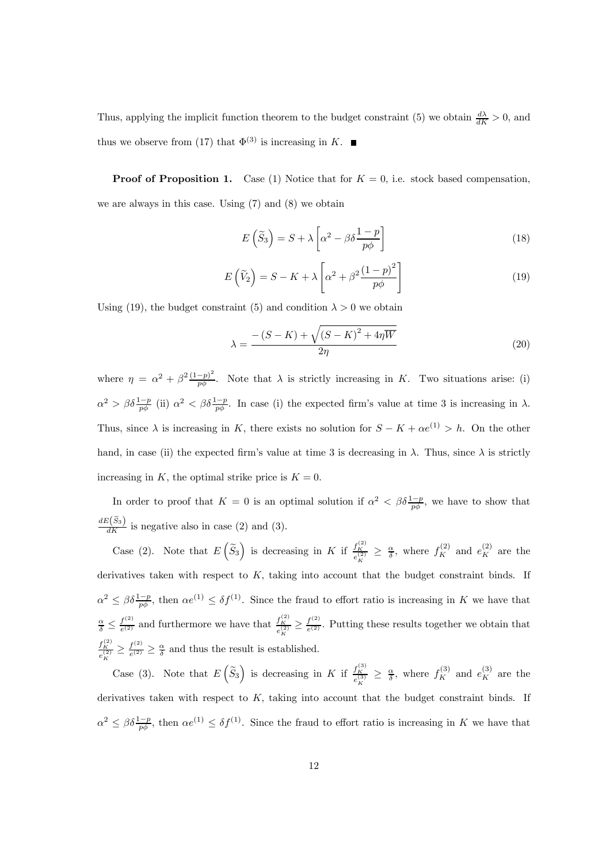Thus, applying the implicit function theorem to the budget constraint (5) we obtain  $\frac{d\lambda}{dK} > 0$ , and thus we observe from (17) that  $\Phi^{(3)}$  is increasing in K.

**Proof of Proposition 1.** Case (1) Notice that for  $K = 0$ , i.e. stock based compensation, we are always in this case. Using (7) and (8) we obtain

$$
E\left(\tilde{S}_3\right) = S + \lambda \left[\alpha^2 - \beta \delta \frac{1-p}{p\phi}\right]
$$
\n(18)

$$
E(\widetilde{V}_2) = S - K + \lambda \left[ \alpha^2 + \beta^2 \frac{(1-p)^2}{p\phi} \right]
$$
 (19)

Using (19), the budget constraint (5) and condition  $\lambda > 0$  we obtain

$$
\lambda = \frac{-\left(S - K\right) + \sqrt{\left(S - K\right)^2 + 4\eta \overline{W}}}{2\eta} \tag{20}
$$

where  $\eta = \alpha^2 + \beta^2 \frac{(1-p)^2}{p\phi}$ . Note that  $\lambda$  is strictly increasing in K. Two situations arise: (i)  $\alpha^2 > \beta \delta \frac{1-p}{p\phi}$  (ii)  $\alpha^2 < \beta \delta \frac{1-p}{p\phi}$ . In case (i) the expected firm's value at time 3 is increasing in  $\lambda$ . Thus, since  $\lambda$  is increasing in K, there exists no solution for  $S - K + \alpha e^{(1)} > h$ . On the other hand, in case (ii) the expected firm's value at time 3 is decreasing in  $\lambda$ . Thus, since  $\lambda$  is strictly increasing in K, the optimal strike price is  $K = 0$ .

In order to proof that  $K = 0$  is an optimal solution if  $\alpha^2 < \beta \delta \frac{1-p}{p\phi}$ , we have to show that  $\frac{dE(\tilde{S}_3)}{dK}$  is negative also in case (2) and (3).

Case (2). Note that  $E\left(\widetilde{S}_3\right)$  is decreasing in K if  $\frac{f_K^{(2)}}{e_K^{(2)}} \geq \frac{\alpha}{\delta}$ , where  $f_K^{(2)}$  and  $e_K^{(2)}$  are the derivatives taken with respect to  $K$ , taking into account that the budget constraint binds. If  $\alpha^2 \leq \beta \delta \frac{1-p}{p\phi}$ , then  $\alpha e^{(1)} \leq \delta f^{(1)}$ . Since the fraud to effort ratio is increasing in K we have that  $\frac{\alpha}{\delta} \leq \frac{f^{(2)}}{e^{(2)}}$  and furthermore we have that  $\frac{f^{(2)}_K}{e^{(2)}_K} \geq \frac{f^{(2)}}{e^{(2)}}$ . Putting these results together we obtain that  $\frac{f_K^{(2)}}{e_K^{(2)}} \geq \frac{f^{(2)}}{e^{(2)}} \geq \frac{\alpha}{\delta}$  and thus the result is established.

Case (3). Note that  $E\left(\tilde{S}_3\right)$  is decreasing in K if  $\frac{f_K^{(3)}}{e_K^{(3)}} \geq \frac{\alpha}{\delta}$ , where  $f_K^{(3)}$  and  $e_K^{(3)}$  are the derivatives taken with respect to  $K$ , taking into account that the budget constraint binds. If  $\alpha^2 \leq \beta \delta \frac{1-p}{p\phi}$ , then  $\alpha e^{(1)} \leq \delta f^{(1)}$ . Since the fraud to effort ratio is increasing in K we have that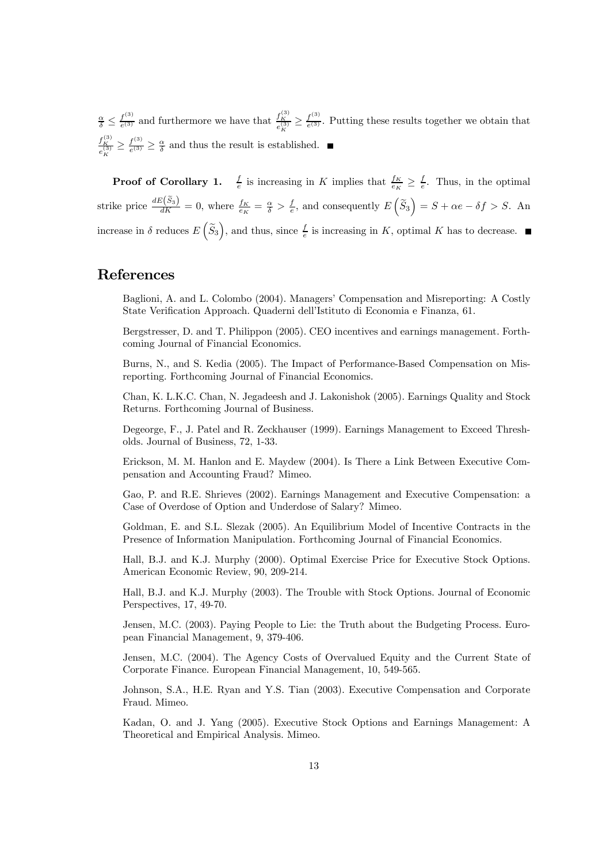$\frac{\alpha}{\delta} \leq \frac{f^{(3)}}{e^{(3)}}$  and furthermore we have that  $\frac{f^{(3)}_K}{e^{(3)}_K} \geq \frac{f^{(3)}}{e^{(3)}}$ . Putting these results together we obtain that  $\frac{f_K^{(3)}}{e_K^{(3)}} \ge \frac{f^{(3)}}{e^{(3)}} \ge \frac{\alpha}{\delta}$  and thus the result is established.

**Proof of Corollary 1.**  $\frac{f}{e}$  is increasing in K implies that  $\frac{f_K}{e_K} \geq \frac{f}{e}$ . Thus, in the optimal strike price  $\frac{dE(\tilde{S}_3)}{dK} = 0$ , where  $\frac{f_K}{e_K} = \frac{\alpha}{\delta} > \frac{f}{e}$ , and consequently  $E(\tilde{S}_3) = S + \alpha e - \delta f > S$ . An increase in  $\delta$  reduces  $E\left(\tilde{S}_3\right)$ , and thus, since  $\frac{f}{e}$  is increasing in K, optimal K has to decrease.

### References

Baglioni, A. and L. Colombo (2004). Managers' Compensation and Misreporting: A Costly State Verification Approach. Quaderni dell'Istituto di Economia e Finanza, 61.

Bergstresser, D. and T. Philippon (2005). CEO incentives and earnings management. Forthcoming Journal of Financial Economics.

Burns, N., and S. Kedia (2005). The Impact of Performance-Based Compensation on Misreporting. Forthcoming Journal of Financial Economics.

Chan, K. L.K.C. Chan, N. Jegadeesh and J. Lakonishok (2005). Earnings Quality and Stock Returns. Forthcoming Journal of Business.

Degeorge, F., J. Patel and R. Zeckhauser (1999). Earnings Management to Exceed Thresholds. Journal of Business, 72, 1-33.

Erickson, M. M. Hanlon and E. Maydew (2004). Is There a Link Between Executive Compensation and Accounting Fraud? Mimeo.

Gao, P. and R.E. Shrieves (2002). Earnings Management and Executive Compensation: a Case of Overdose of Option and Underdose of Salary? Mimeo.

Goldman, E. and S.L. Slezak (2005). An Equilibrium Model of Incentive Contracts in the Presence of Information Manipulation. Forthcoming Journal of Financial Economics.

Hall, B.J. and K.J. Murphy (2000). Optimal Exercise Price for Executive Stock Options. American Economic Review, 90, 209-214.

Hall, B.J. and K.J. Murphy (2003). The Trouble with Stock Options. Journal of Economic Perspectives, 17, 49-70.

Jensen, M.C. (2003). Paying People to Lie: the Truth about the Budgeting Process. European Financial Management, 9, 379-406.

Jensen, M.C. (2004). The Agency Costs of Overvalued Equity and the Current State of Corporate Finance. European Financial Management, 10, 549-565.

Johnson, S.A., H.E. Ryan and Y.S. Tian (2003). Executive Compensation and Corporate Fraud. Mimeo.

Kadan, O. and J. Yang (2005). Executive Stock Options and Earnings Management: A Theoretical and Empirical Analysis. Mimeo.